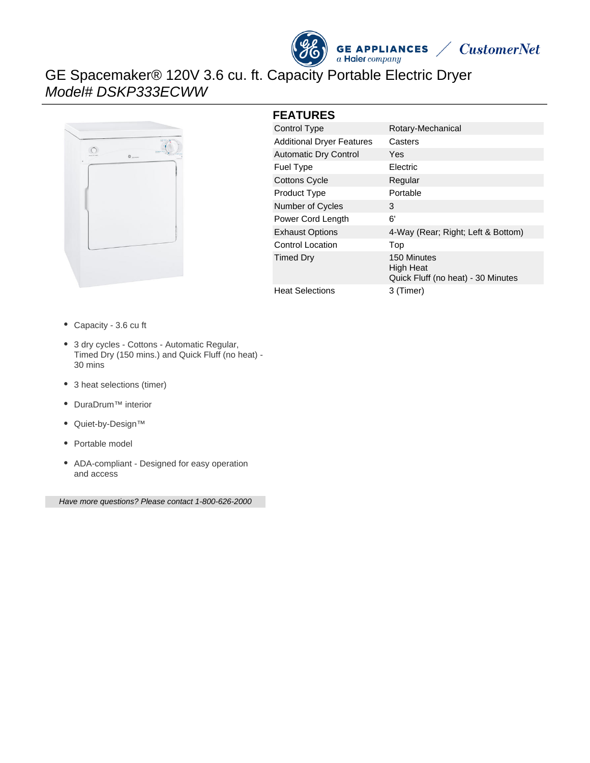



# GE Spacemaker® 120V 3.6 cu. ft. Capacity Portable Electric Dryer Model# DSKP333ECWW



#### **FEATURES**

| Control Type                     | Rotary-Mechanical                                              |
|----------------------------------|----------------------------------------------------------------|
| <b>Additional Dryer Features</b> | Casters                                                        |
| <b>Automatic Dry Control</b>     | Yes                                                            |
| <b>Fuel Type</b>                 | <b>Electric</b>                                                |
| <b>Cottons Cycle</b>             | Regular                                                        |
| <b>Product Type</b>              | Portable                                                       |
| Number of Cycles                 | 3                                                              |
| Power Cord Length                | 6'                                                             |
| <b>Exhaust Options</b>           | 4-Way (Rear; Right; Left & Bottom)                             |
| <b>Control Location</b>          | Top                                                            |
| <b>Timed Dry</b>                 | 150 Minutes<br>High Heat<br>Quick Fluff (no heat) - 30 Minutes |
| <b>Heat Selections</b>           | 3 (Timer)                                                      |

Capacity - 3.6 cu ft

- 3 dry cycles Cottons Automatic Regular, Timed Dry (150 mins.) and Quick Fluff (no heat) - 30 mins
- 3 heat selections (timer)
- DuraDrum™ interior
- Quiet-by-Design™
- Portable model
- ADA-compliant Designed for easy operation and access

Have more questions? Please contact 1-800-626-2000